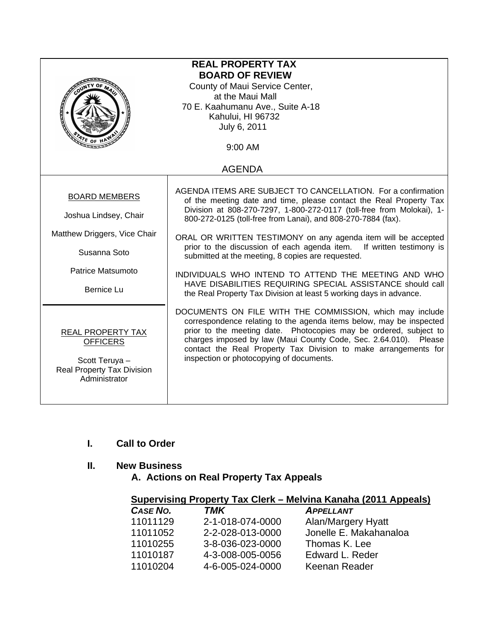|                                                                                                                                  | <b>REAL PROPERTY TAX</b><br><b>BOARD OF REVIEW</b><br>County of Maui Service Center,<br>at the Maui Mall<br>70 E. Kaahumanu Ave., Suite A-18<br>Kahului, HI 96732<br>July 6, 2011                                                                                                                                                                                                                                                                                                                                                                                                                                                                                     |
|----------------------------------------------------------------------------------------------------------------------------------|-----------------------------------------------------------------------------------------------------------------------------------------------------------------------------------------------------------------------------------------------------------------------------------------------------------------------------------------------------------------------------------------------------------------------------------------------------------------------------------------------------------------------------------------------------------------------------------------------------------------------------------------------------------------------|
| $\frac{A}{A}$ r <sub>E OF</sub>                                                                                                  | 9:00 AM                                                                                                                                                                                                                                                                                                                                                                                                                                                                                                                                                                                                                                                               |
|                                                                                                                                  | <b>AGENDA</b>                                                                                                                                                                                                                                                                                                                                                                                                                                                                                                                                                                                                                                                         |
| <b>BOARD MEMBERS</b><br>Joshua Lindsey, Chair<br>Matthew Driggers, Vice Chair<br>Susanna Soto<br>Patrice Matsumoto<br>Bernice Lu | AGENDA ITEMS ARE SUBJECT TO CANCELLATION. For a confirmation<br>of the meeting date and time, please contact the Real Property Tax<br>Division at 808-270-7297, 1-800-272-0117 (toll-free from Molokai), 1-<br>800-272-0125 (toll-free from Lanai), and 808-270-7884 (fax).<br>ORAL OR WRITTEN TESTIMONY on any agenda item will be accepted<br>prior to the discussion of each agenda item. If written testimony is<br>submitted at the meeting, 8 copies are requested.<br>INDIVIDUALS WHO INTEND TO ATTEND THE MEETING AND WHO<br>HAVE DISABILITIES REQUIRING SPECIAL ASSISTANCE should call<br>the Real Property Tax Division at least 5 working days in advance. |
| <b>REAL PROPERTY TAX</b><br><b>OFFICERS</b><br>Scott Teruya -<br><b>Real Property Tax Division</b><br>Administrator              | DOCUMENTS ON FILE WITH THE COMMISSION, which may include<br>correspondence relating to the agenda items below, may be inspected<br>prior to the meeting date. Photocopies may be ordered, subject to<br>charges imposed by law (Maui County Code, Sec. 2.64.010). Please<br>contact the Real Property Tax Division to make arrangements for<br>inspection or photocopying of documents.                                                                                                                                                                                                                                                                               |

# **I. Call to Order**

## **II. New Business**

 **A. Actions on Real Property Tax Appeals** 

|                                                             |          | Supervising Property Tax Clerk – Melvina Kanaha (2011 Appeals) |
|-------------------------------------------------------------|----------|----------------------------------------------------------------|
| $\mathbf{A} \cdot \mathbf{A} = \mathbf{M} \cdot \mathbf{A}$ | ———————— | <b>A</b> ----------                                            |

| CASE NO. | TMK              | <b>APPELLANT</b>       |
|----------|------------------|------------------------|
| 11011129 | 2-1-018-074-0000 | Alan/Margery Hyatt     |
| 11011052 | 2-2-028-013-0000 | Jonelle E. Makahanaloa |
| 11010255 | 3-8-036-023-0000 | Thomas K. Lee          |
| 11010187 | 4-3-008-005-0056 | Edward L. Reder        |
| 11010204 | 4-6-005-024-0000 | Keenan Reader          |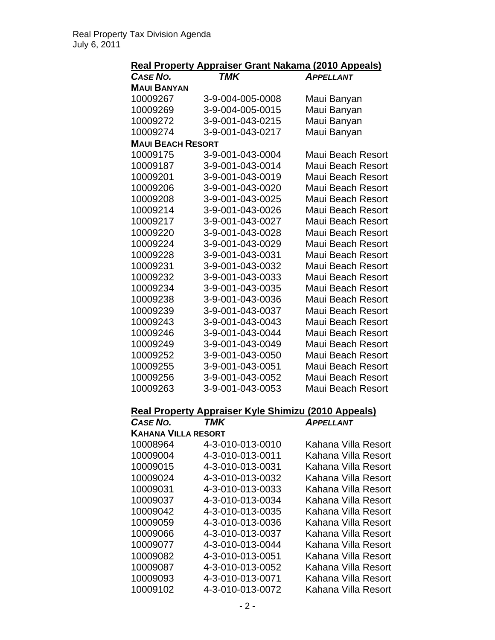|--|

| <b>CASE NO.</b>            | <b>TMK</b>                                          | <b>APPELLANT</b>         |
|----------------------------|-----------------------------------------------------|--------------------------|
| <b>MAUI BANYAN</b>         |                                                     |                          |
| 10009267                   | 3-9-004-005-0008                                    | Maui Banyan              |
| 10009269                   | 3-9-004-005-0015                                    | Maui Banyan              |
| 10009272                   | 3-9-001-043-0215                                    | Maui Banyan              |
| 10009274                   | 3-9-001-043-0217                                    | Maui Banyan              |
| <b>MAUI BEACH RESORT</b>   |                                                     |                          |
| 10009175                   | 3-9-001-043-0004                                    | Maui Beach Resort        |
| 10009187                   | 3-9-001-043-0014                                    | Maui Beach Resort        |
| 10009201                   | 3-9-001-043-0019                                    | <b>Maui Beach Resort</b> |
| 10009206                   | 3-9-001-043-0020                                    | Maui Beach Resort        |
| 10009208                   | 3-9-001-043-0025                                    | Maui Beach Resort        |
| 10009214                   | 3-9-001-043-0026                                    | Maui Beach Resort        |
| 10009217                   | 3-9-001-043-0027                                    | Maui Beach Resort        |
| 10009220                   | 3-9-001-043-0028                                    | Maui Beach Resort        |
| 10009224                   | 3-9-001-043-0029                                    | Maui Beach Resort        |
| 10009228                   | 3-9-001-043-0031                                    | Maui Beach Resort        |
| 10009231                   | 3-9-001-043-0032                                    | Maui Beach Resort        |
| 10009232                   | 3-9-001-043-0033                                    | Maui Beach Resort        |
| 10009234                   | 3-9-001-043-0035                                    | <b>Maui Beach Resort</b> |
| 10009238                   | 3-9-001-043-0036                                    | Maui Beach Resort        |
| 10009239                   | 3-9-001-043-0037                                    | Maui Beach Resort        |
| 10009243                   | 3-9-001-043-0043                                    | Maui Beach Resort        |
| 10009246                   | 3-9-001-043-0044                                    | Maui Beach Resort        |
| 10009249                   | 3-9-001-043-0049                                    | Maui Beach Resort        |
| 10009252                   | 3-9-001-043-0050                                    | Maui Beach Resort        |
| 10009255                   | 3-9-001-043-0051                                    | Maui Beach Resort        |
| 10009256                   | 3-9-001-043-0052                                    | Maui Beach Resort        |
| 10009263                   | 3-9-001-043-0053                                    | Maui Beach Resort        |
|                            | Real Property Appraiser Kyle Shimizu (2010 Appeals) |                          |
| CASE NO.                   | <b>TMK</b>                                          | <b>APPELLANT</b>         |
| <b>KAHANA VILLA RESORT</b> |                                                     |                          |
| 10008964                   | 4-3-010-013-0010                                    | Kahana Villa Resort      |
| 10009004                   | 4-3-010-013-0011                                    | Kahana Villa Resort      |
| 10009015                   | 4-3-010-013-0031                                    | Kahana Villa Resort      |
| 10009024                   | 4-3-010-013-0032                                    | Kahana Villa Resort      |
| 10009031                   | 4-3-010-013-0033                                    | Kahana Villa Resort      |
| 10009037                   | 4-3-010-013-0034                                    | Kahana Villa Resort      |

| UAJL ITU.                  | , ,,,, ,         | AFFLLLANI           |
|----------------------------|------------------|---------------------|
| <b>KAHANA VILLA RESORT</b> |                  |                     |
| 10008964                   | 4-3-010-013-0010 | Kahana Villa Resort |
| 10009004                   | 4-3-010-013-0011 | Kahana Villa Resort |
| 10009015                   | 4-3-010-013-0031 | Kahana Villa Resort |
| 10009024                   | 4-3-010-013-0032 | Kahana Villa Resort |
| 10009031                   | 4-3-010-013-0033 | Kahana Villa Resort |
| 10009037                   | 4-3-010-013-0034 | Kahana Villa Resort |
| 10009042                   | 4-3-010-013-0035 | Kahana Villa Resort |
| 10009059                   | 4-3-010-013-0036 | Kahana Villa Resort |
| 10009066                   | 4-3-010-013-0037 | Kahana Villa Resort |
| 10009077                   | 4-3-010-013-0044 | Kahana Villa Resort |
| 10009082                   | 4-3-010-013-0051 | Kahana Villa Resort |
| 10009087                   | 4-3-010-013-0052 | Kahana Villa Resort |
| 10009093                   | 4-3-010-013-0071 | Kahana Villa Resort |
| 10009102                   | 4-3-010-013-0072 | Kahana Villa Resort |
|                            |                  |                     |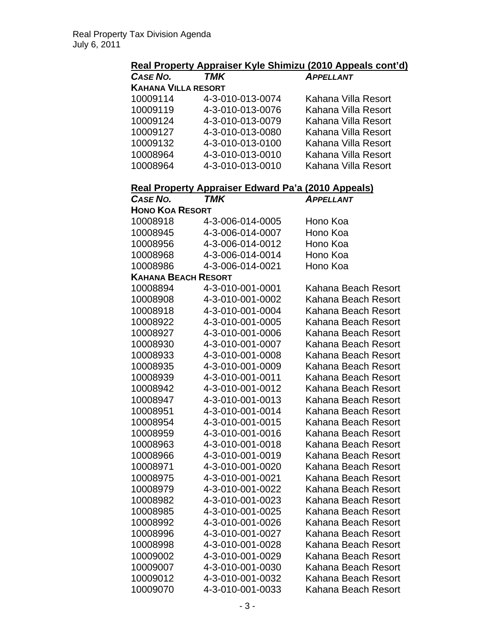### **Real Property Appraiser Kyle Shimizu (2010 Appeals cont'd)**

| CASE NO.                   | TMK              | <b>APPELLANT</b>    |
|----------------------------|------------------|---------------------|
| <b>KAHANA VILLA RESORT</b> |                  |                     |
| 10009114                   | 4-3-010-013-0074 | Kahana Villa Resort |
| 10009119                   | 4-3-010-013-0076 | Kahana Villa Resort |
| 10009124                   | 4-3-010-013-0079 | Kahana Villa Resort |
| 10009127                   | 4-3-010-013-0080 | Kahana Villa Resort |
| 10009132                   | 4-3-010-013-0100 | Kahana Villa Resort |
| 10008964                   | 4-3-010-013-0010 | Kahana Villa Resort |
| 10008964                   | 4-3-010-013-0010 | Kahana Villa Resort |

#### **Real Property Appraiser Edward Pa'a (2010 Appeals)**

| <b>CASE NO.</b>            | TMK              | APPELLANT           |
|----------------------------|------------------|---------------------|
| <b>HONO KOA RESORT</b>     |                  |                     |
| 10008918                   | 4-3-006-014-0005 | Hono Koa            |
| 10008945                   | 4-3-006-014-0007 | Hono Koa            |
| 10008956                   | 4-3-006-014-0012 | Hono Koa            |
| 10008968                   | 4-3-006-014-0014 | Hono Koa            |
| 10008986                   | 4-3-006-014-0021 | Hono Koa            |
| <b>KAHANA BEACH RESORT</b> |                  |                     |
| 10008894                   | 4-3-010-001-0001 | Kahana Beach Resort |
| 10008908                   | 4-3-010-001-0002 | Kahana Beach Resort |
| 10008918                   | 4-3-010-001-0004 | Kahana Beach Resort |
| 10008922                   | 4-3-010-001-0005 | Kahana Beach Resort |
| 10008927                   | 4-3-010-001-0006 | Kahana Beach Resort |
| 10008930                   | 4-3-010-001-0007 | Kahana Beach Resort |
| 10008933                   | 4-3-010-001-0008 | Kahana Beach Resort |
| 10008935                   | 4-3-010-001-0009 | Kahana Beach Resort |
| 10008939                   | 4-3-010-001-0011 | Kahana Beach Resort |
| 10008942                   | 4-3-010-001-0012 | Kahana Beach Resort |
| 10008947                   | 4-3-010-001-0013 | Kahana Beach Resort |
| 10008951                   | 4-3-010-001-0014 | Kahana Beach Resort |
| 10008954                   | 4-3-010-001-0015 | Kahana Beach Resort |
| 10008959                   | 4-3-010-001-0016 | Kahana Beach Resort |
| 10008963                   | 4-3-010-001-0018 | Kahana Beach Resort |
| 10008966                   | 4-3-010-001-0019 | Kahana Beach Resort |
| 10008971                   | 4-3-010-001-0020 | Kahana Beach Resort |
| 10008975                   | 4-3-010-001-0021 | Kahana Beach Resort |
| 10008979                   | 4-3-010-001-0022 | Kahana Beach Resort |
| 10008982                   | 4-3-010-001-0023 | Kahana Beach Resort |
| 10008985                   | 4-3-010-001-0025 | Kahana Beach Resort |
| 10008992                   | 4-3-010-001-0026 | Kahana Beach Resort |
| 10008996                   | 4-3-010-001-0027 | Kahana Beach Resort |
| 10008998                   | 4-3-010-001-0028 | Kahana Beach Resort |
| 10009002                   | 4-3-010-001-0029 | Kahana Beach Resort |
| 10009007                   | 4-3-010-001-0030 | Kahana Beach Resort |
| 10009012                   | 4-3-010-001-0032 | Kahana Beach Resort |
| 10009070                   | 4-3-010-001-0033 | Kahana Beach Resort |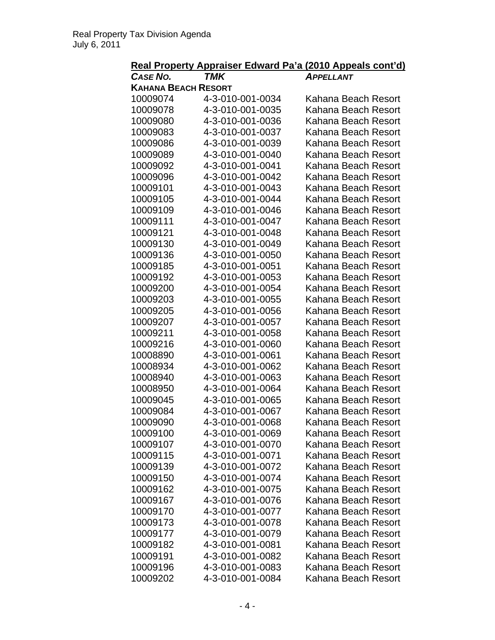| <b>CASE NO.</b>            | <b>TMK</b>       | Real Property Appraiser Edward Pa'a (2010 Appeals cont'd)<br><b>APPELLANT</b> |
|----------------------------|------------------|-------------------------------------------------------------------------------|
| <b>KAHANA BEACH RESORT</b> |                  |                                                                               |
| 10009074                   | 4-3-010-001-0034 | Kahana Beach Resort                                                           |
| 10009078                   | 4-3-010-001-0035 | Kahana Beach Resort                                                           |
| 10009080                   | 4-3-010-001-0036 | Kahana Beach Resort                                                           |
| 10009083                   | 4-3-010-001-0037 | Kahana Beach Resort                                                           |
| 10009086                   | 4-3-010-001-0039 | Kahana Beach Resort                                                           |
| 10009089                   | 4-3-010-001-0040 | Kahana Beach Resort                                                           |
| 10009092                   | 4-3-010-001-0041 | Kahana Beach Resort                                                           |
| 10009096                   | 4-3-010-001-0042 | Kahana Beach Resort                                                           |
| 10009101                   | 4-3-010-001-0043 | Kahana Beach Resort                                                           |
| 10009105                   | 4-3-010-001-0044 | Kahana Beach Resort                                                           |
| 10009109                   | 4-3-010-001-0046 | Kahana Beach Resort                                                           |
| 10009111                   | 4-3-010-001-0047 | Kahana Beach Resort                                                           |
| 10009121                   | 4-3-010-001-0048 | Kahana Beach Resort                                                           |
| 10009130                   | 4-3-010-001-0049 | Kahana Beach Resort                                                           |
| 10009136                   | 4-3-010-001-0050 | Kahana Beach Resort                                                           |
| 10009185                   | 4-3-010-001-0051 | Kahana Beach Resort                                                           |
| 10009192                   | 4-3-010-001-0053 | Kahana Beach Resort                                                           |
| 10009200                   | 4-3-010-001-0054 | Kahana Beach Resort                                                           |
| 10009203                   | 4-3-010-001-0055 | Kahana Beach Resort                                                           |
| 10009205                   | 4-3-010-001-0056 | Kahana Beach Resort                                                           |
| 10009207                   | 4-3-010-001-0057 | Kahana Beach Resort                                                           |
| 10009211                   | 4-3-010-001-0058 | Kahana Beach Resort                                                           |
| 10009216                   | 4-3-010-001-0060 | Kahana Beach Resort                                                           |
| 10008890                   | 4-3-010-001-0061 | Kahana Beach Resort                                                           |
| 10008934                   | 4-3-010-001-0062 | Kahana Beach Resort                                                           |
| 10008940                   | 4-3-010-001-0063 | Kahana Beach Resort                                                           |
| 10008950                   | 4-3-010-001-0064 | Kahana Beach Resort                                                           |
| 10009045                   | 4-3-010-001-0065 | Kahana Beach Resort                                                           |
| 10009084                   | 4-3-010-001-0067 | Kahana Beach Resort                                                           |
| 10009090                   | 4-3-010-001-0068 | Kahana Beach Resort                                                           |
| 10009100                   | 4-3-010-001-0069 | Kahana Beach Resort                                                           |
| 10009107                   | 4-3-010-001-0070 | Kahana Beach Resort                                                           |
| 10009115                   | 4-3-010-001-0071 | Kahana Beach Resort                                                           |
| 10009139                   | 4-3-010-001-0072 | Kahana Beach Resort                                                           |
| 10009150                   | 4-3-010-001-0074 | Kahana Beach Resort                                                           |
| 10009162                   | 4-3-010-001-0075 | Kahana Beach Resort                                                           |
| 10009167                   | 4-3-010-001-0076 | Kahana Beach Resort                                                           |
| 10009170                   | 4-3-010-001-0077 | Kahana Beach Resort                                                           |
| 10009173                   | 4-3-010-001-0078 | Kahana Beach Resort                                                           |
| 10009177                   | 4-3-010-001-0079 | Kahana Beach Resort                                                           |
| 10009182                   | 4-3-010-001-0081 | Kahana Beach Resort                                                           |
| 10009191                   | 4-3-010-001-0082 | Kahana Beach Resort                                                           |
| 10009196                   | 4-3-010-001-0083 | Kahana Beach Resort                                                           |
| 10009202                   | 4-3-010-001-0084 | Kahana Beach Resort                                                           |
|                            |                  |                                                                               |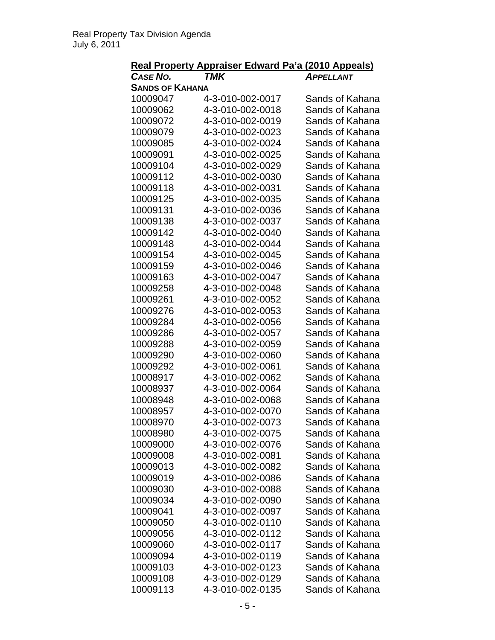|                        | Real Property Appraiser Edward Pa'a (2010 Appeals) |                                    |
|------------------------|----------------------------------------------------|------------------------------------|
| <b>CASE NO.</b>        | <b>TMK</b>                                         | <b>APPELLANT</b>                   |
| <b>SANDS OF KAHANA</b> |                                                    |                                    |
| 10009047               | 4-3-010-002-0017                                   | Sands of Kahana                    |
| 10009062               | 4-3-010-002-0018                                   | Sands of Kahana                    |
| 10009072               | 4-3-010-002-0019                                   | Sands of Kahana                    |
| 10009079               | 4-3-010-002-0023                                   | Sands of Kahana                    |
| 10009085               | 4-3-010-002-0024                                   | Sands of Kahana                    |
| 10009091               | 4-3-010-002-0025                                   | Sands of Kahana                    |
| 10009104               | 4-3-010-002-0029                                   | Sands of Kahana                    |
| 10009112               | 4-3-010-002-0030                                   | Sands of Kahana                    |
| 10009118               | 4-3-010-002-0031                                   | Sands of Kahana                    |
| 10009125               | 4-3-010-002-0035                                   | Sands of Kahana                    |
| 10009131               | 4-3-010-002-0036                                   | Sands of Kahana                    |
| 10009138               | 4-3-010-002-0037                                   | Sands of Kahana                    |
| 10009142               | 4-3-010-002-0040                                   | Sands of Kahana                    |
| 10009148               | 4-3-010-002-0044                                   | Sands of Kahana                    |
| 10009154               | 4-3-010-002-0045                                   | Sands of Kahana                    |
| 10009159               | 4-3-010-002-0046                                   | Sands of Kahana                    |
| 10009163               | 4-3-010-002-0047                                   | Sands of Kahana                    |
| 10009258               | 4-3-010-002-0048                                   | Sands of Kahana                    |
| 10009261               | 4-3-010-002-0052                                   | Sands of Kahana                    |
| 10009276               | 4-3-010-002-0053                                   | Sands of Kahana                    |
| 10009284               | 4-3-010-002-0056                                   | Sands of Kahana                    |
| 10009286               | 4-3-010-002-0057                                   | Sands of Kahana                    |
| 10009288               | 4-3-010-002-0059                                   | Sands of Kahana                    |
|                        |                                                    |                                    |
| 10009290<br>10009292   | 4-3-010-002-0060<br>4-3-010-002-0061               | Sands of Kahana<br>Sands of Kahana |
| 10008917               |                                                    | Sands of Kahana                    |
|                        | 4-3-010-002-0062                                   | Sands of Kahana                    |
| 10008937               | 4-3-010-002-0064                                   |                                    |
| 10008948               | 4-3-010-002-0068                                   | Sands of Kahana                    |
| 10008957               | 4-3-010-002-0070                                   | Sands of Kahana                    |
| 10008970               | 4-3-010-002-0073                                   | Sands of Kahana                    |
| 10008980               | 4-3-010-002-0075                                   | Sands of Kahana                    |
| 10009000               | 4-3-010-002-0076                                   | Sands of Kahana                    |
| 10009008               | 4-3-010-002-0081                                   | Sands of Kahana                    |
| 10009013               | 4-3-010-002-0082                                   | Sands of Kahana                    |
| 10009019               | 4-3-010-002-0086                                   | Sands of Kahana                    |
| 10009030               | 4-3-010-002-0088                                   | Sands of Kahana                    |
| 10009034               | 4-3-010-002-0090                                   | Sands of Kahana                    |
| 10009041               | 4-3-010-002-0097                                   | Sands of Kahana                    |
| 10009050               | 4-3-010-002-0110                                   | Sands of Kahana                    |
| 10009056               | 4-3-010-002-0112                                   | Sands of Kahana                    |
| 10009060               | 4-3-010-002-0117                                   | Sands of Kahana                    |
| 10009094               | 4-3-010-002-0119                                   | Sands of Kahana                    |
| 10009103               | 4-3-010-002-0123                                   | Sands of Kahana                    |
| 10009108               | 4-3-010-002-0129                                   | Sands of Kahana                    |
| 10009113               | 4-3-010-002-0135                                   | Sands of Kahana                    |